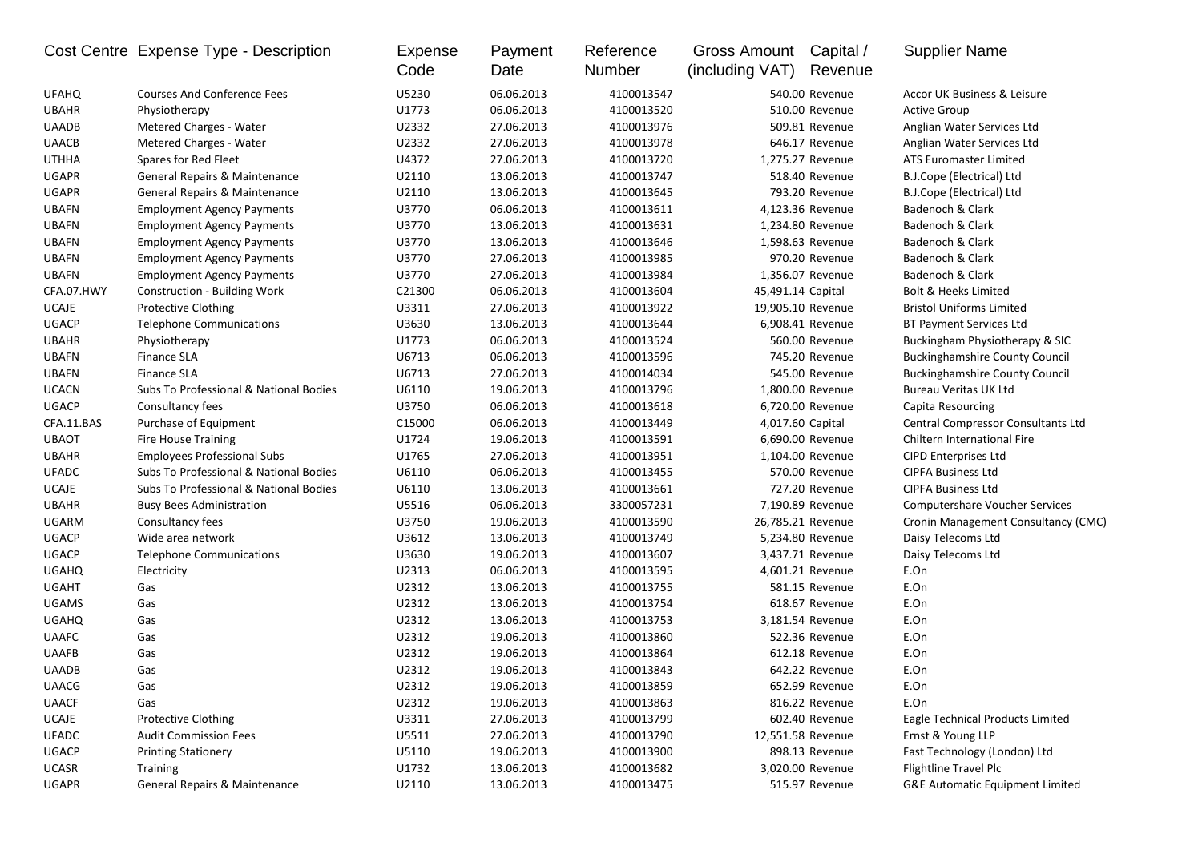|              | Cost Centre Expense Type - Description | <b>Expense</b><br>Code | Payment<br>Date | Reference<br>Number | Gross Amount Capital /<br>(including VAT) | Revenue           | <b>Supplier Name</b>                      |
|--------------|----------------------------------------|------------------------|-----------------|---------------------|-------------------------------------------|-------------------|-------------------------------------------|
| <b>UFAHQ</b> | <b>Courses And Conference Fees</b>     | U5230                  | 06.06.2013      | 4100013547          |                                           | 540.00 Revenue    | Accor UK Business & Leisure               |
| <b>UBAHR</b> | Physiotherapy                          | U1773                  | 06.06.2013      | 4100013520          |                                           | 510.00 Revenue    | <b>Active Group</b>                       |
| <b>UAADB</b> | Metered Charges - Water                | U2332                  | 27.06.2013      | 4100013976          |                                           | 509.81 Revenue    | Anglian Water Services Ltd                |
| <b>UAACB</b> | Metered Charges - Water                | U2332                  | 27.06.2013      | 4100013978          |                                           | 646.17 Revenue    | Anglian Water Services Ltd                |
| <b>UTHHA</b> | Spares for Red Fleet                   | U4372                  | 27.06.2013      | 4100013720          |                                           | 1,275.27 Revenue  | <b>ATS Euromaster Limited</b>             |
| <b>UGAPR</b> | General Repairs & Maintenance          | U2110                  | 13.06.2013      | 4100013747          |                                           | 518.40 Revenue    | B.J.Cope (Electrical) Ltd                 |
| <b>UGAPR</b> | General Repairs & Maintenance          | U2110                  | 13.06.2013      | 4100013645          |                                           | 793.20 Revenue    | B.J.Cope (Electrical) Ltd                 |
| <b>UBAFN</b> | <b>Employment Agency Payments</b>      | U3770                  | 06.06.2013      | 4100013611          |                                           | 4,123.36 Revenue  | Badenoch & Clark                          |
| <b>UBAFN</b> | <b>Employment Agency Payments</b>      | U3770                  | 13.06.2013      | 4100013631          |                                           | 1,234.80 Revenue  | Badenoch & Clark                          |
| <b>UBAFN</b> | <b>Employment Agency Payments</b>      | U3770                  | 13.06.2013      | 4100013646          |                                           | 1,598.63 Revenue  | Badenoch & Clark                          |
| <b>UBAFN</b> | <b>Employment Agency Payments</b>      | U3770                  | 27.06.2013      | 4100013985          |                                           | 970.20 Revenue    | Badenoch & Clark                          |
| <b>UBAFN</b> | <b>Employment Agency Payments</b>      | U3770                  | 27.06.2013      | 4100013984          |                                           | 1,356.07 Revenue  | Badenoch & Clark                          |
| CFA.07.HWY   | Construction - Building Work           | C21300                 | 06.06.2013      | 4100013604          | 45,491.14 Capital                         |                   | Bolt & Heeks Limited                      |
| <b>UCAJE</b> | <b>Protective Clothing</b>             | U3311                  | 27.06.2013      | 4100013922          |                                           | 19,905.10 Revenue | <b>Bristol Uniforms Limited</b>           |
| <b>UGACP</b> | <b>Telephone Communications</b>        | U3630                  | 13.06.2013      | 4100013644          |                                           | 6,908.41 Revenue  | <b>BT Payment Services Ltd</b>            |
| <b>UBAHR</b> | Physiotherapy                          | U1773                  | 06.06.2013      | 4100013524          |                                           | 560.00 Revenue    | Buckingham Physiotherapy & SIC            |
| <b>UBAFN</b> | Finance SLA                            | U6713                  | 06.06.2013      | 4100013596          |                                           | 745.20 Revenue    | <b>Buckinghamshire County Council</b>     |
| <b>UBAFN</b> | <b>Finance SLA</b>                     | U6713                  | 27.06.2013      | 4100014034          |                                           | 545.00 Revenue    | <b>Buckinghamshire County Council</b>     |
| <b>UCACN</b> | Subs To Professional & National Bodies | U6110                  | 19.06.2013      | 4100013796          |                                           | 1,800.00 Revenue  | Bureau Veritas UK Ltd                     |
| <b>UGACP</b> | Consultancy fees                       | U3750                  | 06.06.2013      | 4100013618          |                                           | 6,720.00 Revenue  | Capita Resourcing                         |
| CFA.11.BAS   | Purchase of Equipment                  | C15000                 | 06.06.2013      | 4100013449          |                                           | 4,017.60 Capital  | <b>Central Compressor Consultants Ltd</b> |
| <b>UBAOT</b> | <b>Fire House Training</b>             | U1724                  | 19.06.2013      | 4100013591          |                                           | 6,690.00 Revenue  | Chiltern International Fire               |
| <b>UBAHR</b> | <b>Employees Professional Subs</b>     | U1765                  | 27.06.2013      | 4100013951          |                                           | 1,104.00 Revenue  | <b>CIPD Enterprises Ltd</b>               |
| <b>UFADC</b> | Subs To Professional & National Bodies | U6110                  | 06.06.2013      | 4100013455          |                                           | 570.00 Revenue    | <b>CIPFA Business Ltd</b>                 |
| <b>UCAJE</b> | Subs To Professional & National Bodies | U6110                  | 13.06.2013      | 4100013661          |                                           | 727.20 Revenue    | <b>CIPFA Business Ltd</b>                 |
| <b>UBAHR</b> | <b>Busy Bees Administration</b>        | U5516                  | 06.06.2013      | 3300057231          |                                           | 7,190.89 Revenue  | <b>Computershare Voucher Services</b>     |
| <b>UGARM</b> | Consultancy fees                       | U3750                  | 19.06.2013      | 4100013590          |                                           | 26,785.21 Revenue | Cronin Management Consultancy (CMC)       |
| <b>UGACP</b> | Wide area network                      | U3612                  | 13.06.2013      | 4100013749          |                                           | 5,234.80 Revenue  | Daisy Telecoms Ltd                        |
| <b>UGACP</b> | <b>Telephone Communications</b>        | U3630                  | 19.06.2013      | 4100013607          |                                           | 3,437.71 Revenue  | Daisy Telecoms Ltd                        |
| <b>UGAHQ</b> | Electricity                            | U2313                  | 06.06.2013      | 4100013595          |                                           | 4,601.21 Revenue  | E.On                                      |
| <b>UGAHT</b> | Gas                                    | U2312                  | 13.06.2013      | 4100013755          |                                           | 581.15 Revenue    | E.On                                      |
| <b>UGAMS</b> | Gas                                    | U2312                  | 13.06.2013      | 4100013754          |                                           | 618.67 Revenue    | E.On                                      |
| <b>UGAHQ</b> | Gas                                    | U2312                  | 13.06.2013      | 4100013753          |                                           | 3,181.54 Revenue  | E.On                                      |
| <b>UAAFC</b> | Gas                                    | U2312                  | 19.06.2013      | 4100013860          |                                           | 522.36 Revenue    | E.On                                      |
| <b>UAAFB</b> | Gas                                    | U2312                  | 19.06.2013      | 4100013864          |                                           | 612.18 Revenue    | E.On                                      |
| UAADB        | Gas                                    | U2312                  | 19.06.2013      | 4100013843          |                                           | 642.22 Revenue    | E.On                                      |
| <b>UAACG</b> | Gas                                    | U2312                  | 19.06.2013      | 4100013859          |                                           | 652.99 Revenue    | E.On                                      |
| <b>UAACF</b> | Gas                                    | U2312                  | 19.06.2013      | 4100013863          |                                           | 816.22 Revenue    | E.On                                      |
| UCAJE        | <b>Protective Clothing</b>             | U3311                  | 27.06.2013      | 4100013799          |                                           | 602.40 Revenue    | Eagle Technical Products Limited          |
| <b>UFADC</b> | <b>Audit Commission Fees</b>           | U5511                  | 27.06.2013      | 4100013790          |                                           | 12,551.58 Revenue | Ernst & Young LLP                         |
| UGACP        | <b>Printing Stationery</b>             | U5110                  | 19.06.2013      | 4100013900          |                                           | 898.13 Revenue    | Fast Technology (London) Ltd              |
| <b>UCASR</b> | <b>Training</b>                        | U1732                  | 13.06.2013      | 4100013682          |                                           | 3,020.00 Revenue  | Flightline Travel Plc                     |
| UGAPR        | General Repairs & Maintenance          | U2110                  | 13.06.2013      | 4100013475          |                                           | 515.97 Revenue    | G&E Automatic Equipment Limited           |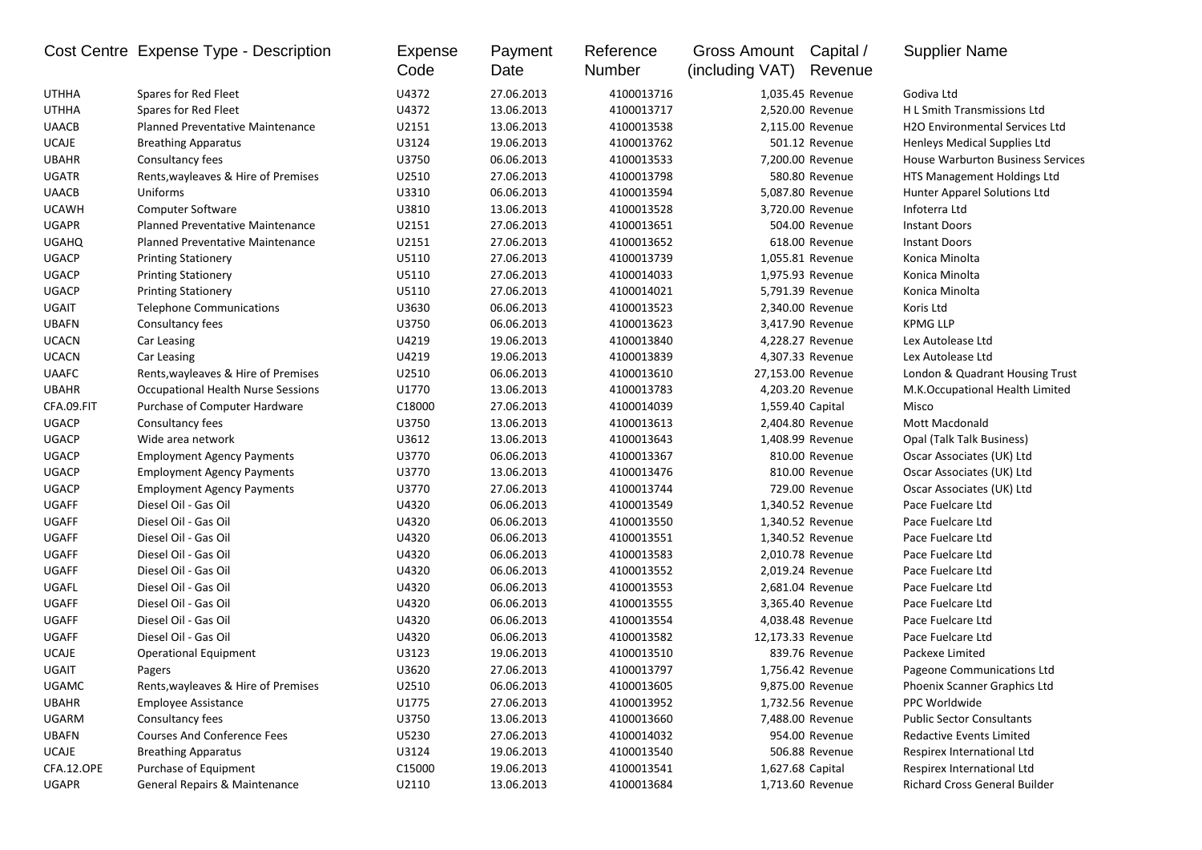|              | Cost Centre Expense Type - Description    | Expense<br>Code | Payment<br>Date | Reference<br><b>Number</b> | Gross Amount Capital /<br>(including VAT) | Revenue           | <b>Supplier Name</b>                  |
|--------------|-------------------------------------------|-----------------|-----------------|----------------------------|-------------------------------------------|-------------------|---------------------------------------|
| <b>UTHHA</b> | Spares for Red Fleet                      | U4372           | 27.06.2013      | 4100013716                 |                                           | 1,035.45 Revenue  | Godiva Ltd                            |
| <b>UTHHA</b> | Spares for Red Fleet                      | U4372           | 13.06.2013      | 4100013717                 |                                           | 2,520.00 Revenue  | H L Smith Transmissions Ltd           |
| <b>UAACB</b> | <b>Planned Preventative Maintenance</b>   | U2151           | 13.06.2013      | 4100013538                 |                                           | 2,115.00 Revenue  | <b>H2O Environmental Services Ltd</b> |
| <b>UCAJE</b> | <b>Breathing Apparatus</b>                | U3124           | 19.06.2013      | 4100013762                 |                                           | 501.12 Revenue    | Henleys Medical Supplies Ltd          |
| <b>UBAHR</b> | Consultancy fees                          | U3750           | 06.06.2013      | 4100013533                 |                                           | 7,200.00 Revenue  | House Warburton Business Services     |
| <b>UGATR</b> | Rents, wayleaves & Hire of Premises       | U2510           | 27.06.2013      | 4100013798                 |                                           | 580.80 Revenue    | HTS Management Holdings Ltd           |
| <b>UAACB</b> | Uniforms                                  | U3310           | 06.06.2013      | 4100013594                 |                                           | 5,087.80 Revenue  | <b>Hunter Apparel Solutions Ltd</b>   |
| <b>UCAWH</b> | Computer Software                         | U3810           | 13.06.2013      | 4100013528                 |                                           | 3,720.00 Revenue  | Infoterra Ltd                         |
| <b>UGAPR</b> | <b>Planned Preventative Maintenance</b>   | U2151           | 27.06.2013      | 4100013651                 |                                           | 504.00 Revenue    | <b>Instant Doors</b>                  |
| <b>UGAHQ</b> | <b>Planned Preventative Maintenance</b>   | U2151           | 27.06.2013      | 4100013652                 |                                           | 618.00 Revenue    | <b>Instant Doors</b>                  |
| <b>UGACP</b> | <b>Printing Stationery</b>                | U5110           | 27.06.2013      | 4100013739                 |                                           | 1,055.81 Revenue  | Konica Minolta                        |
| <b>UGACP</b> | <b>Printing Stationery</b>                | U5110           | 27.06.2013      | 4100014033                 |                                           | 1,975.93 Revenue  | Konica Minolta                        |
| <b>UGACP</b> | <b>Printing Stationery</b>                | U5110           | 27.06.2013      | 4100014021                 |                                           | 5,791.39 Revenue  | Konica Minolta                        |
| <b>UGAIT</b> | <b>Telephone Communications</b>           | U3630           | 06.06.2013      | 4100013523                 |                                           | 2,340.00 Revenue  | Koris Ltd                             |
| <b>UBAFN</b> | Consultancy fees                          | U3750           | 06.06.2013      | 4100013623                 |                                           | 3,417.90 Revenue  | <b>KPMG LLP</b>                       |
| <b>UCACN</b> | Car Leasing                               | U4219           | 19.06.2013      | 4100013840                 |                                           | 4,228.27 Revenue  | Lex Autolease Ltd                     |
| <b>UCACN</b> | Car Leasing                               | U4219           | 19.06.2013      | 4100013839                 |                                           | 4,307.33 Revenue  | Lex Autolease Ltd                     |
| <b>UAAFC</b> | Rents, wayleaves & Hire of Premises       | U2510           | 06.06.2013      | 4100013610                 |                                           | 27,153.00 Revenue | London & Quadrant Housing Trust       |
| <b>UBAHR</b> | <b>Occupational Health Nurse Sessions</b> | U1770           | 13.06.2013      | 4100013783                 |                                           | 4,203.20 Revenue  | M.K.Occupational Health Limited       |
| CFA.09.FIT   | Purchase of Computer Hardware             | C18000          | 27.06.2013      | 4100014039                 | 1,559.40 Capital                          |                   | Misco                                 |
| <b>UGACP</b> | Consultancy fees                          | U3750           | 13.06.2013      | 4100013613                 |                                           | 2,404.80 Revenue  | <b>Mott Macdonald</b>                 |
| <b>UGACP</b> | Wide area network                         | U3612           | 13.06.2013      | 4100013643                 |                                           | 1,408.99 Revenue  | Opal (Talk Talk Business)             |
| <b>UGACP</b> | <b>Employment Agency Payments</b>         | U3770           | 06.06.2013      | 4100013367                 |                                           | 810.00 Revenue    | Oscar Associates (UK) Ltd             |
| <b>UGACP</b> | <b>Employment Agency Payments</b>         | U3770           | 13.06.2013      | 4100013476                 |                                           | 810.00 Revenue    | Oscar Associates (UK) Ltd             |
| <b>UGACP</b> | <b>Employment Agency Payments</b>         | U3770           | 27.06.2013      | 4100013744                 |                                           | 729.00 Revenue    | Oscar Associates (UK) Ltd             |
| <b>UGAFF</b> | Diesel Oil - Gas Oil                      | U4320           | 06.06.2013      | 4100013549                 |                                           | 1,340.52 Revenue  | Pace Fuelcare Ltd                     |
| <b>UGAFF</b> | Diesel Oil - Gas Oil                      | U4320           | 06.06.2013      | 4100013550                 |                                           | 1,340.52 Revenue  | Pace Fuelcare Ltd                     |
| <b>UGAFF</b> | Diesel Oil - Gas Oil                      | U4320           | 06.06.2013      | 4100013551                 |                                           | 1,340.52 Revenue  | Pace Fuelcare Ltd                     |
| <b>UGAFF</b> | Diesel Oil - Gas Oil                      | U4320           | 06.06.2013      | 4100013583                 |                                           | 2,010.78 Revenue  | Pace Fuelcare Ltd                     |
| <b>UGAFF</b> | Diesel Oil - Gas Oil                      | U4320           | 06.06.2013      | 4100013552                 |                                           | 2,019.24 Revenue  | Pace Fuelcare Ltd                     |
| UGAFL        | Diesel Oil - Gas Oil                      | U4320           | 06.06.2013      | 4100013553                 |                                           | 2,681.04 Revenue  | Pace Fuelcare Ltd                     |
| UGAFF        | Diesel Oil - Gas Oil                      | U4320           | 06.06.2013      | 4100013555                 |                                           | 3,365.40 Revenue  | Pace Fuelcare Ltd                     |
| <b>UGAFF</b> | Diesel Oil - Gas Oil                      | U4320           | 06.06.2013      | 4100013554                 |                                           | 4,038.48 Revenue  | Pace Fuelcare Ltd                     |
| <b>UGAFF</b> | Diesel Oil - Gas Oil                      | U4320           | 06.06.2013      | 4100013582                 |                                           | 12,173.33 Revenue | Pace Fuelcare Ltd                     |
| <b>UCAJE</b> | <b>Operational Equipment</b>              | U3123           | 19.06.2013      | 4100013510                 |                                           | 839.76 Revenue    | Packexe Limited                       |
| <b>UGAIT</b> | Pagers                                    | U3620           | 27.06.2013      | 4100013797                 |                                           | 1,756.42 Revenue  | Pageone Communications Ltd            |
| <b>UGAMC</b> | Rents, wayleaves & Hire of Premises       | U2510           | 06.06.2013      | 4100013605                 |                                           | 9,875.00 Revenue  | Phoenix Scanner Graphics Ltd          |
| <b>UBAHR</b> | <b>Employee Assistance</b>                | U1775           | 27.06.2013      | 4100013952                 |                                           | 1,732.56 Revenue  | PPC Worldwide                         |
| UGARM        | Consultancy fees                          | U3750           | 13.06.2013      | 4100013660                 |                                           | 7,488.00 Revenue  | <b>Public Sector Consultants</b>      |
| <b>UBAFN</b> | <b>Courses And Conference Fees</b>        | U5230           | 27.06.2013      | 4100014032                 |                                           | 954.00 Revenue    | Redactive Events Limited              |
| UCAJE        | <b>Breathing Apparatus</b>                | U3124           | 19.06.2013      | 4100013540                 |                                           | 506.88 Revenue    | Respirex International Ltd            |
| CFA.12.OPE   | Purchase of Equipment                     | C15000          | 19.06.2013      | 4100013541                 | 1,627.68 Capital                          |                   | Respirex International Ltd            |
| UGAPR        | General Repairs & Maintenance             | U2110           | 13.06.2013      | 4100013684                 |                                           | 1,713.60 Revenue  | Richard Cross General Builder         |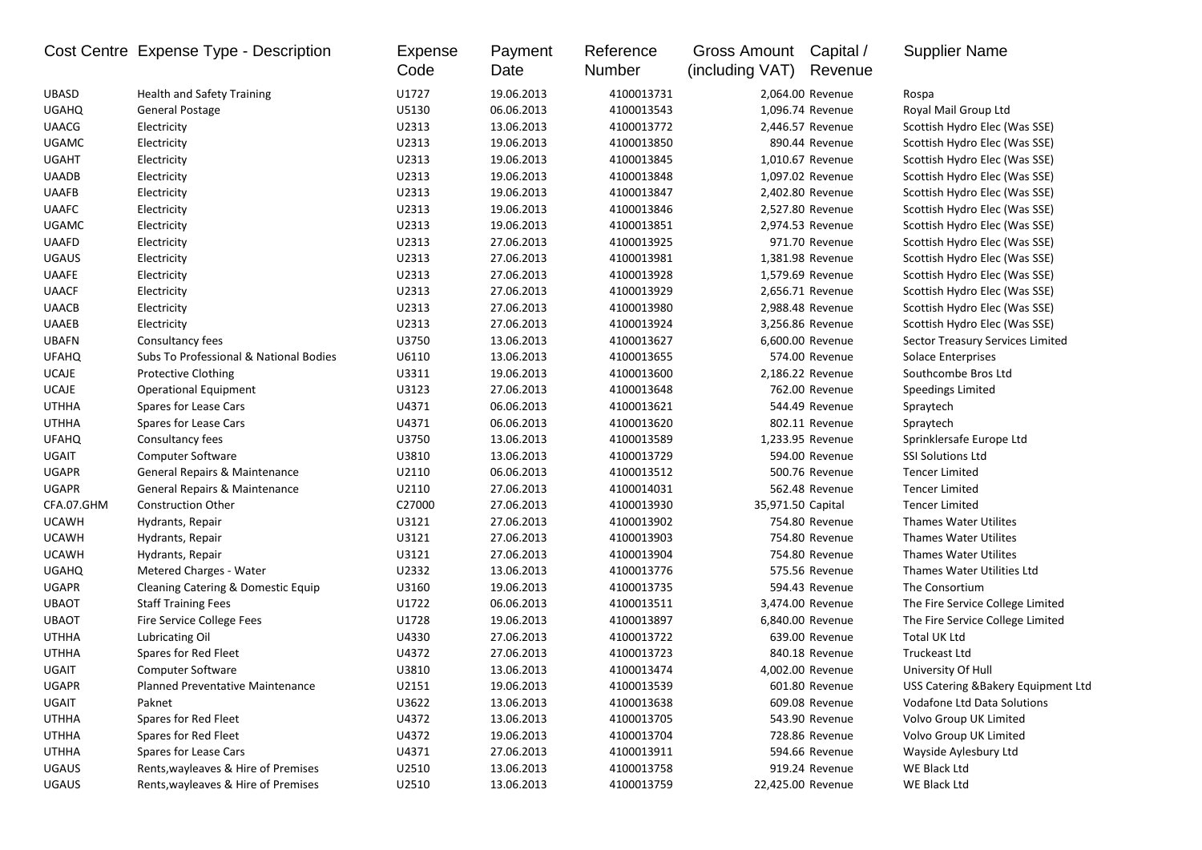| U1727<br><b>UBASD</b><br><b>Health and Safety Training</b><br>19.06.2013<br>4100013731<br>2,064.00 Revenue<br>Rospa<br>06.06.2013<br><b>UGAHQ</b><br>General Postage<br>U5130<br>4100013543<br>1,096.74 Revenue<br>Royal Mail Group Ltd |                                    |
|-----------------------------------------------------------------------------------------------------------------------------------------------------------------------------------------------------------------------------------------|------------------------------------|
|                                                                                                                                                                                                                                         |                                    |
|                                                                                                                                                                                                                                         |                                    |
| U2313<br>13.06.2013<br><b>UAACG</b><br>Electricity<br>4100013772<br>2,446.57 Revenue<br>Scottish Hydro Elec (Was SSE)                                                                                                                   |                                    |
| <b>UGAMC</b><br>U2313<br>19.06.2013<br>4100013850<br>Electricity<br>890.44 Revenue<br>Scottish Hydro Elec (Was SSE)                                                                                                                     |                                    |
| <b>UGAHT</b><br>U2313<br>19.06.2013<br>Electricity<br>4100013845<br>1,010.67 Revenue<br>Scottish Hydro Elec (Was SSE)                                                                                                                   |                                    |
| U2313<br><b>UAADB</b><br>19.06.2013<br>4100013848<br>1,097.02 Revenue<br>Scottish Hydro Elec (Was SSE)<br>Electricity                                                                                                                   |                                    |
| U2313<br><b>UAAFB</b><br>19.06.2013<br>4100013847<br>2,402.80 Revenue<br>Scottish Hydro Elec (Was SSE)<br>Electricity                                                                                                                   |                                    |
| U2313<br>19.06.2013<br><b>UAAFC</b><br>Electricity<br>4100013846<br>2,527.80 Revenue<br>Scottish Hydro Elec (Was SSE)                                                                                                                   |                                    |
| U2313<br><b>UGAMC</b><br>Electricity<br>19.06.2013<br>2,974.53 Revenue<br>4100013851<br>Scottish Hydro Elec (Was SSE)                                                                                                                   |                                    |
| U2313<br><b>UAAFD</b><br>Electricity<br>27.06.2013<br>4100013925<br>971.70 Revenue<br>Scottish Hydro Elec (Was SSE)                                                                                                                     |                                    |
| U2313<br><b>UGAUS</b><br>Electricity<br>27.06.2013<br>4100013981<br>1,381.98 Revenue<br>Scottish Hydro Elec (Was SSE)                                                                                                                   |                                    |
| U2313<br><b>UAAFE</b><br>27.06.2013<br>4100013928<br>1,579.69 Revenue<br>Electricity<br>Scottish Hydro Elec (Was SSE)                                                                                                                   |                                    |
| <b>UAACF</b><br>Electricity<br>U2313<br>27.06.2013<br>4100013929<br>2,656.71 Revenue<br>Scottish Hydro Elec (Was SSE)                                                                                                                   |                                    |
| 27.06.2013<br><b>UAACB</b><br>Electricity<br>U2313<br>4100013980<br>2,988.48 Revenue<br>Scottish Hydro Elec (Was SSE)                                                                                                                   |                                    |
| 27.06.2013<br><b>UAAEB</b><br>Electricity<br>U2313<br>4100013924<br>3,256.86 Revenue<br>Scottish Hydro Elec (Was SSE)                                                                                                                   |                                    |
| <b>UBAFN</b><br>Consultancy fees<br>U3750<br>13.06.2013<br>4100013627<br>6,600.00 Revenue<br>Sector Treasury Services Limited                                                                                                           |                                    |
| <b>UFAHQ</b><br>Subs To Professional & National Bodies<br>U6110<br>13.06.2013<br>4100013655<br>574.00 Revenue<br>Solace Enterprises                                                                                                     |                                    |
| <b>UCAJE</b><br>U3311<br>19.06.2013<br>4100013600<br>2,186.22 Revenue<br>Southcombe Bros Ltd<br><b>Protective Clothing</b>                                                                                                              |                                    |
| U3123<br>27.06.2013<br><b>UCAJE</b><br>4100013648<br>762.00 Revenue<br><b>Operational Equipment</b><br><b>Speedings Limited</b>                                                                                                         |                                    |
| <b>UTHHA</b><br>Spares for Lease Cars<br>U4371<br>06.06.2013<br>4100013621<br>544.49 Revenue<br>Spraytech                                                                                                                               |                                    |
| U4371<br>Spares for Lease Cars<br>06.06.2013<br>4100013620<br>802.11 Revenue<br><b>UTHHA</b><br>Spraytech                                                                                                                               |                                    |
| U3750<br>1,233.95 Revenue<br><b>UFAHQ</b><br>Consultancy fees<br>13.06.2013<br>4100013589<br>Sprinklersafe Europe Ltd                                                                                                                   |                                    |
| UGAIT<br><b>Computer Software</b><br>U3810<br>13.06.2013<br>4100013729<br>594.00 Revenue<br><b>SSI Solutions Ltd</b>                                                                                                                    |                                    |
| <b>UGAPR</b><br>General Repairs & Maintenance<br>U2110<br>06.06.2013<br>4100013512<br>500.76 Revenue<br><b>Tencer Limited</b>                                                                                                           |                                    |
| 27.06.2013<br><b>UGAPR</b><br>General Repairs & Maintenance<br>U2110<br>4100014031<br>562.48 Revenue<br><b>Tencer Limited</b>                                                                                                           |                                    |
| CFA.07.GHM<br>C27000<br>27.06.2013<br><b>Construction Other</b><br>4100013930<br>35,971.50 Capital<br><b>Tencer Limited</b>                                                                                                             |                                    |
| <b>UCAWH</b><br>U3121<br>27.06.2013<br>4100013902<br>754.80 Revenue<br><b>Thames Water Utilites</b><br>Hydrants, Repair                                                                                                                 |                                    |
| <b>UCAWH</b><br>U3121<br>27.06.2013<br>4100013903<br>754.80 Revenue<br><b>Thames Water Utilites</b><br>Hydrants, Repair                                                                                                                 |                                    |
| <b>UCAWH</b><br>U3121<br>27.06.2013<br>4100013904<br>754.80 Revenue<br><b>Thames Water Utilites</b><br>Hydrants, Repair                                                                                                                 |                                    |
| <b>UGAHQ</b><br>U2332<br>13.06.2013<br>4100013776<br>575.56 Revenue<br>Thames Water Utilities Ltd<br>Metered Charges - Water                                                                                                            |                                    |
| <b>UGAPR</b><br>U3160<br>Cleaning Catering & Domestic Equip<br>19.06.2013<br>4100013735<br>594.43 Revenue<br>The Consortium                                                                                                             |                                    |
| <b>UBAOT</b><br>U1722<br>06.06.2013<br><b>Staff Training Fees</b><br>4100013511<br>3,474.00 Revenue<br>The Fire Service College Limited                                                                                                 |                                    |
| <b>UBAOT</b><br>Fire Service College Fees<br>U1728<br>19.06.2013<br>4100013897<br>6,840.00 Revenue<br>The Fire Service College Limited                                                                                                  |                                    |
| Lubricating Oil<br>U4330<br>27.06.2013<br>4100013722<br>639.00 Revenue<br>Total UK Ltd<br><b>UTHHA</b>                                                                                                                                  |                                    |
| <b>UTHHA</b><br>Spares for Red Fleet<br>U4372<br>27.06.2013<br>840.18 Revenue<br>4100013723<br><b>Truckeast Ltd</b>                                                                                                                     |                                    |
| UGAIT<br><b>Computer Software</b><br>U3810<br>13.06.2013<br>4100013474<br>4,002.00 Revenue<br>University Of Hull                                                                                                                        |                                    |
| U2151<br>19.06.2013<br>601.80 Revenue<br>UGAPR<br>Planned Preventative Maintenance<br>4100013539                                                                                                                                        | USS Catering &Bakery Equipment Ltd |
| UGAIT<br>U3622<br>4100013638<br>Paknet<br>13.06.2013<br>609.08 Revenue<br>Vodafone Ltd Data Solutions                                                                                                                                   |                                    |
| Spares for Red Fleet<br>U4372<br>UTHHA<br>13.06.2013<br>4100013705<br>543.90 Revenue<br>Volvo Group UK Limited                                                                                                                          |                                    |
| UTHHA<br>Spares for Red Fleet<br>U4372<br>19.06.2013<br>4100013704<br>728.86 Revenue<br>Volvo Group UK Limited                                                                                                                          |                                    |
| U4371<br>UTHHA<br>Spares for Lease Cars<br>27.06.2013<br>4100013911<br>594.66 Revenue<br>Wayside Aylesbury Ltd                                                                                                                          |                                    |
| Rents, wayleaves & Hire of Premises<br>U2510<br>WE Black Ltd<br>UGAUS<br>13.06.2013<br>4100013758<br>919.24 Revenue                                                                                                                     |                                    |
| Rents, wayleaves & Hire of Premises<br>UGAUS<br>U2510<br>13.06.2013<br>4100013759<br>22,425.00 Revenue<br>WE Black Ltd                                                                                                                  |                                    |